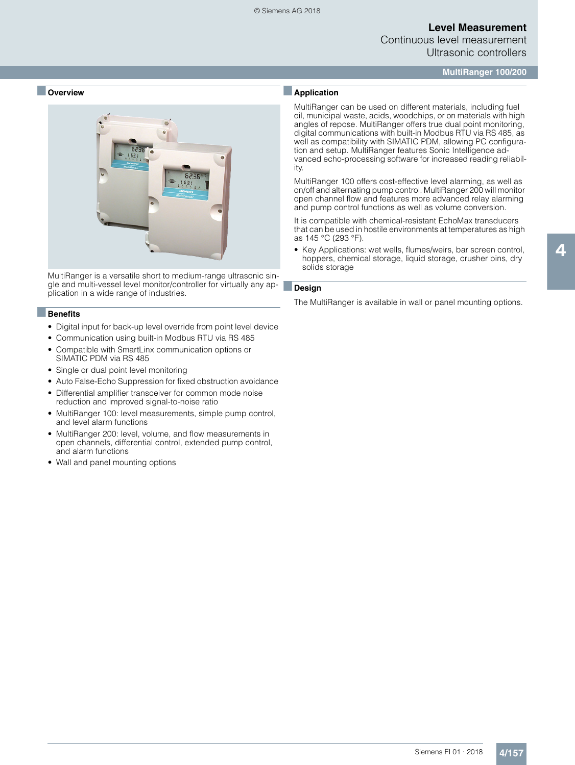# **Level Measurement**

Continuous level measurement Ultrasonic controllers

**MultiRanger 100/200**

#### ■ **Overview**



MultiRanger is a versatile short to medium-range ultrasonic single and multi-vessel level monitor/controller for virtually any application in a wide range of industries.

#### ■**Benefits**

- Digital input for back-up level override from point level device
- Communication using built-in Modbus RTU via RS 485
- Compatible with SmartLinx communication options or SIMATIC PDM via RS 485
- Single or dual point level monitoring
- Auto False-Echo Suppression for fixed obstruction avoidance
- Differential amplifier transceiver for common mode noise reduction and improved signal-to-noise ratio
- MultiRanger 100: level measurements, simple pump control, and level alarm functions
- MultiRanger 200: level, volume, and flow measurements in open channels, differential control, extended pump control, and alarm functions
- Wall and panel mounting options

### ■**Application**

MultiRanger can be used on different materials, including fuel oil, municipal waste, acids, woodchips, or on materials with high angles of repose. MultiRanger offers true dual point monitoring, digital communications with built-in Modbus RTU via RS 485, as well as compatibility with SIMATIC PDM, allowing PC configuration and setup. MultiRanger features Sonic Intelligence advanced echo-processing software for increased reading reliability.

MultiRanger 100 offers cost-effective level alarming, as well as on/off and alternating pump control. MultiRanger 200 will monitor open channel flow and features more advanced relay alarming and pump control functions as well as volume conversion.

It is compatible with chemical-resistant EchoMax transducers that can be used in hostile environments at temperatures as high as 145 °C (293 °F).

• Key Applications: wet wells, flumes/weirs, bar screen control, hoppers, chemical storage, liquid storage, crusher bins, dry solids storage

### ■**Design**

The MultiRanger is available in wall or panel mounting options.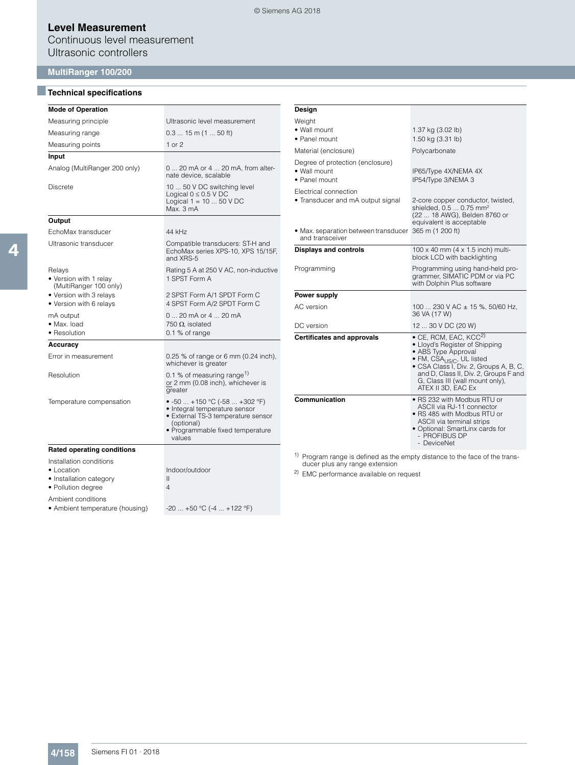### **Level Measurement**

Continuous level measurement Ultrasonic controllers

### **MultiRanger 100/200**

# ■**Technical specifications**

| <b>Mode of Operation</b>                                                                       |                                                                                                                                                                  |
|------------------------------------------------------------------------------------------------|------------------------------------------------------------------------------------------------------------------------------------------------------------------|
| Measuring principle                                                                            | Ultrasonic level measurement                                                                                                                                     |
| Measuring range                                                                                | $0.315$ m (1  50 ft)                                                                                                                                             |
| Measuring points                                                                               | 1 or $2$                                                                                                                                                         |
| Input                                                                                          |                                                                                                                                                                  |
| Analog (MultiRanger 200 only)                                                                  | 0  20 mA or 4  20 mA, from alter-<br>nate device, scalable                                                                                                       |
| <b>Discrete</b>                                                                                | 10  50 V DC switching level<br>Logical $0 \leq 0.5$ V DC<br>Logical $1 = 1050$ V DC<br>Max. 3 mA                                                                 |
| Output                                                                                         |                                                                                                                                                                  |
| EchoMax transducer                                                                             | 44 kHz                                                                                                                                                           |
| Ultrasonic transducer                                                                          | Compatible transducers: ST-H and<br>EchoMax series XPS-10, XPS 15/15F,<br>and XRS-5                                                                              |
| Relays<br>• Version with 1 relay<br>(MultiRanger 100 only)                                     | Rating 5 A at 250 V AC, non-inductive<br>1 SPST Form A                                                                                                           |
| • Version with 3 relays<br>• Version with 6 relays                                             | 2 SPST Form A/1 SPDT Form C<br>4 SPST Form A/2 SPDT Form C                                                                                                       |
| mA output<br>• Max. load<br>• Resolution                                                       | 0  20 mA or 4  20 mA<br>750 $\Omega$ , isolated<br>0.1 % of range                                                                                                |
| Accuracy                                                                                       |                                                                                                                                                                  |
| Error in measurement                                                                           | 0.25 % of range or 6 mm (0.24 inch),<br>whichever is greater                                                                                                     |
| Resolution                                                                                     | 0.1 % of measuring range <sup>1)</sup><br>or 2 mm (0.08 inch), whichever is<br>greater                                                                           |
| Temperature compensation                                                                       | ● -50  +150 °C (-58  +302 °F)<br>• Integral temperature sensor<br>• External TS-3 temperature sensor<br>(optional)<br>• Programmable fixed temperature<br>values |
| <b>Rated operating conditions</b>                                                              |                                                                                                                                                                  |
| Installation conditions<br>$\bullet$ Location<br>• Installation category<br>• Pollution degree | Indoor/outdoor<br>Ш<br>4                                                                                                                                         |
| Ambient conditions<br>• Ambient temperature (housing)                                          | $-20$ $+50$ °C (-4 $+122$ °F)                                                                                                                                    |

| Design                                                                                                                |                                                                                                                                                                                                                                                                                         |
|-----------------------------------------------------------------------------------------------------------------------|-----------------------------------------------------------------------------------------------------------------------------------------------------------------------------------------------------------------------------------------------------------------------------------------|
| Weight<br>• Wall mount<br>• Panel mount                                                                               | 1.37 kg (3.02 lb)<br>1.50 kg (3.31 lb)                                                                                                                                                                                                                                                  |
| Material (enclosure)                                                                                                  | Polycarbonate                                                                                                                                                                                                                                                                           |
| Degree of protection (enclosure)<br>• Wall mount<br>· Panel mount                                                     | IP65/Type 4X/NEMA 4X<br>IP54/Type 3/NEMA 3                                                                                                                                                                                                                                              |
| Electrical connection<br>• Transducer and mA output signal<br>• Max. separation between transducer<br>and transceiver | 2-core copper conductor, twisted,<br>shielded, 0.5  0.75 mm <sup>2</sup><br>(22  18 AWG), Belden 8760 or<br>equivalent is acceptable<br>365 m (1 200 ft)                                                                                                                                |
| <b>Displays and controls</b>                                                                                          | 100 x 40 mm $(4 \times 1.5 \text{ inch})$ multi-<br>block LCD with backlighting                                                                                                                                                                                                         |
| Programming                                                                                                           | Programming using hand-held pro-<br>grammer, SIMATIC PDM or via PC<br>with Dolphin Plus software                                                                                                                                                                                        |
| Power supply                                                                                                          |                                                                                                                                                                                                                                                                                         |
| AC version                                                                                                            | 100  230 V AC $\pm$ 15 %, 50/60 Hz,<br>36 VA (17 W)                                                                                                                                                                                                                                     |
| DC version                                                                                                            | 12  30 V DC (20 W)                                                                                                                                                                                                                                                                      |
| <b>Certificates and approvals</b>                                                                                     | $\bullet$ CE, RCM, EAC, KCC <sup>2)</sup><br>• Lloyd's Register of Shipping<br>• ABS Type Approval<br>• FM, CSA <sub>US/C</sub> , UL listed<br>• CSA Class I, Div. 2, Groups A, B, C,<br>and D, Class II, Div. 2, Groups F and<br>G, Class III (wall mount only),<br>ATEX II 3D, EAC Ex |
| Communication                                                                                                         | • RS 232 with Modbus RTU or<br>ASCII via RJ-11 connector<br>• RS 485 with Modbus RTU or<br>ASCII via terminal strips<br>• Optional: SmartLinx cards for<br>- PROFIBUS DP<br>- DeviceNet                                                                                                 |

1) Program range is defined as the empty distance to the face of the trans-ducer plus any range extension

2) EMC performance available on request

© Siemens AG 2018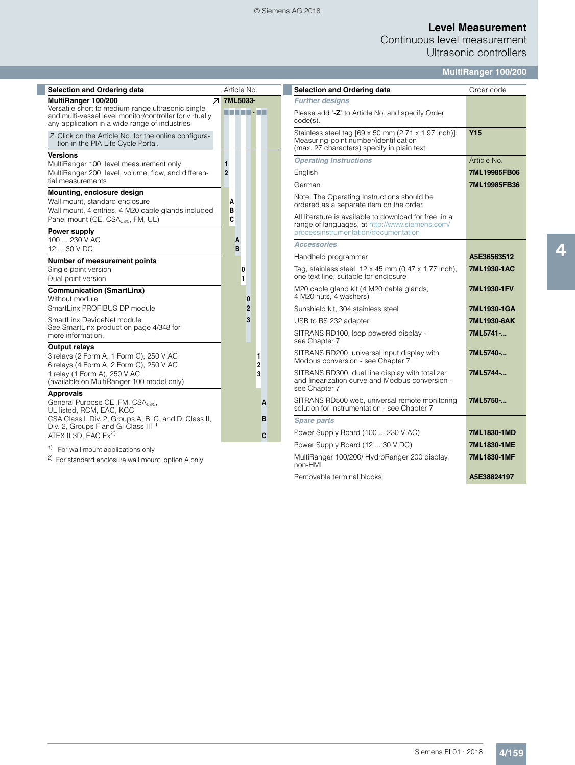#### © Siemens AG 2018

# **Level Measurement**

Continuous level measurement Ultrasonic controllers

## **MultiRanger 100/200**

English **7ML19985FB06** German **7ML19985FB36**

| <b>Selection and Ordering data</b>                                                                                                                            | Article No.                    | Selection and Ordering data                                                                                                                      | Order code         |
|---------------------------------------------------------------------------------------------------------------------------------------------------------------|--------------------------------|--------------------------------------------------------------------------------------------------------------------------------------------------|--------------------|
| MultiRanger 100/200                                                                                                                                           | <b>7 7ML5033-</b>              | <b>Further designs</b>                                                                                                                           |                    |
| Versatile short to medium-range ultrasonic single<br>and multi-vessel level monitor/controller for virtually<br>any application in a wide range of industries | -------                        | Please add "-Z" to Article No. and specify Order<br>$code(s)$ .                                                                                  |                    |
| ○ Click on the Article No. for the online configura-<br>tion in the PIA Life Cycle Portal.                                                                    |                                | Stainless steel tag [69 x 50 mm (2.71 x 1.97 inch)]:<br>Measuring-point number/identification<br>(max. 27 characters) specify in plain text      | <b>Y15</b>         |
| <b>Versions</b>                                                                                                                                               |                                | <b>Operating Instructions</b>                                                                                                                    | Article No.        |
| MultiRanger 100, level measurement only<br>MultiRanger 200, level, volume, flow, and differen-                                                                | $\mathbf{1}$<br>$\overline{2}$ | English                                                                                                                                          | 7ML19985F          |
| tial measurements                                                                                                                                             |                                | German                                                                                                                                           | 7ML19985F          |
| Mounting, enclosure design<br>Wall mount, standard enclosure<br>Wall mount, 4 entries, 4 M20 cable glands included                                            | A<br>B                         | Note: The Operating Instructions should be<br>ordered as a separate item on the order.                                                           |                    |
| Panel mount (CE, CSA <sub>US/C</sub> , FM, UL)<br>Power supply                                                                                                | C                              | All literature is available to download for free, in a<br>range of languages, at http://www.siemens.com/<br>processinstrumentation/documentation |                    |
| 100  230 V AC                                                                                                                                                 | A                              | <b>Accessories</b>                                                                                                                               |                    |
| 12  30 V DC                                                                                                                                                   | B                              | Handheld programmer                                                                                                                              | A5E365635          |
| Number of measurement points<br>Single point version<br>Dual point version                                                                                    | 0<br>1                         | Tag, stainless steel, 12 x 45 mm (0.47 x 1.77 inch),<br>one text line, suitable for enclosure                                                    | 7ML1930-1/         |
| <b>Communication (SmartLinx)</b><br>Without module                                                                                                            | $\bf{0}$                       | M20 cable gland kit (4 M20 cable glands,<br>4 M20 nuts, 4 washers)                                                                               | 7ML1930-1F         |
| SmartLinx PROFIBUS DP module                                                                                                                                  | $\overline{2}$                 | Sunshield kit, 304 stainless steel                                                                                                               | 7ML1930-10         |
| SmartLinx DeviceNet module                                                                                                                                    | 3                              | USB to RS 232 adapter                                                                                                                            | 7ML1930-6/         |
| See SmartLinx product on page 4/348 for<br>more information.                                                                                                  |                                | SITRANS RD100, loop powered display -<br>see Chapter 7                                                                                           | 7ML5741-           |
| <b>Output relays</b><br>3 relays (2 Form A, 1 Form C), 250 V AC<br>6 relays (4 Form A, 2 Form C), 250 V AC                                                    | 1<br>2                         | SITRANS RD200, universal input display with<br>Modbus conversion - see Chapter 7                                                                 | 7ML5740-           |
| 1 relay (1 Form A), 250 V AC<br>(available on MultiRanger 100 model only)                                                                                     | 3                              | SITRANS RD300, dual line display with totalizer<br>and linearization curve and Modbus conversion -<br>see Chapter 7                              | 7ML5744-           |
| <b>Approvals</b><br>General Purpose CE, FM, CSA <sub>USC</sub> ,<br>UL listed, RCM, EAC, KCC                                                                  | A                              | SITRANS RD500 web, universal remote monitoring<br>solution for instrumentation - see Chapter 7                                                   | 7ML5750-           |
| CSA Class I, Div. 2, Groups A, B, C, and D; Class II,                                                                                                         | B                              | <b>Spare parts</b>                                                                                                                               |                    |
| Div. 2, Groups F and G; Class III <sup>1)</sup><br>ATEX II 3D. EAC $Ex^{2}$                                                                                   | C                              | Power Supply Board (100  230 V AC)                                                                                                               | 7ML1830-1M         |
| <sup>1)</sup> For wall mount applications only                                                                                                                |                                | Power Supply Board (12  30 V DC)                                                                                                                 | 7ML1830-1M         |
|                                                                                                                                                               |                                | MultiPenger 100/200/ HydroPenger 200 display                                                                                                     | <b>7MI 1020 1M</b> |

2) For standard enclosure wall mount, option A only

range of languages, at http://www.siemens.com/ processinstrumentation/documentation Handheld programmer **A5E36563512**  $2 \times 45$  mm (0.47  $\times$  1.77 inch), for enclosure **7ML1930-1AC** M20 cable glands,<br>s) **7ML1930-1FV** nless steel **7ML1930-1GA** PER 232 **7ML1930-6AK** powered display -**7ML5741-...** SITRANS RD200, universal input display with Modbus conversion - see Chapter 7 **7ML5740-...** SITRANS RD300, dual line display with totalizer and linearization curve and Modbus conversion - **7ML5744-...** universal remote monitoring ation - see Chapter 7 **7ML5750-...** Power Supply Board (100 ... 230 V AC) **7ML1830-1MD** Power Supply Board (12 ... 30 V DC) **7ML1830-1ME** 0/200/ HydroRanger 200 display, wournanger 10<br>non-HMI **7ML1830-1MF**

Removable terminal blocks **A5E38824197**

4